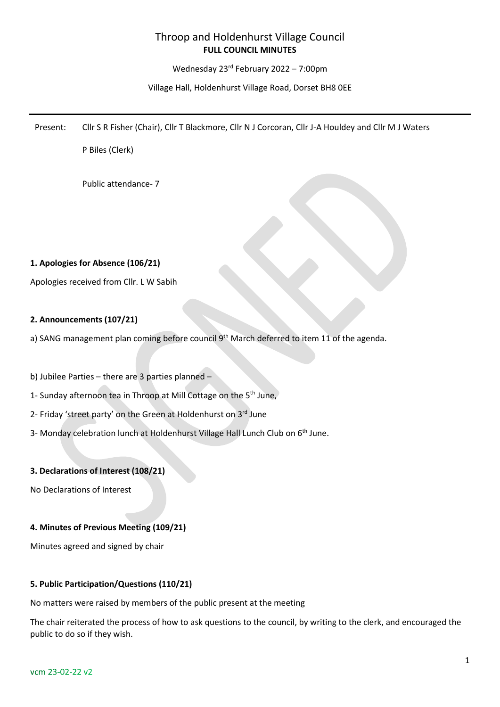# Throop and Holdenhurst Village Council **FULL COUNCIL MINUTES**

Wednesday 23rd February 2022 – 7:00pm

Village Hall, Holdenhurst Village Road, Dorset BH8 0EE

Present: Cllr S R Fisher (Chair), Cllr T Blackmore, Cllr N J Corcoran, Cllr J-A Houldey and Cllr M J Waters

P Biles (Clerk)

Public attendance- 7

## **1. Apologies for Absence (106/21)**

Apologies received from Cllr. L W Sabih

# **2. Announcements (107/21)**

a) SANG management plan coming before council 9<sup>th</sup> March deferred to item 11 of the agenda.

b) Jubilee Parties – there are 3 parties planned –

- 1- Sunday afternoon tea in Throop at Mill Cottage on the 5th June,
- 2- Friday 'street party' on the Green at Holdenhurst on 3rd June
- 3- Monday celebration lunch at Holdenhurst Village Hall Lunch Club on 6<sup>th</sup> June.

## **3. Declarations of Interest (108/21)**

No Declarations of Interest

## **4. Minutes of Previous Meeting (109/21)**

Minutes agreed and signed by chair

## **5. Public Participation/Questions (110/21)**

No matters were raised by members of the public present at the meeting

The chair reiterated the process of how to ask questions to the council, by writing to the clerk, and encouraged the public to do so if they wish.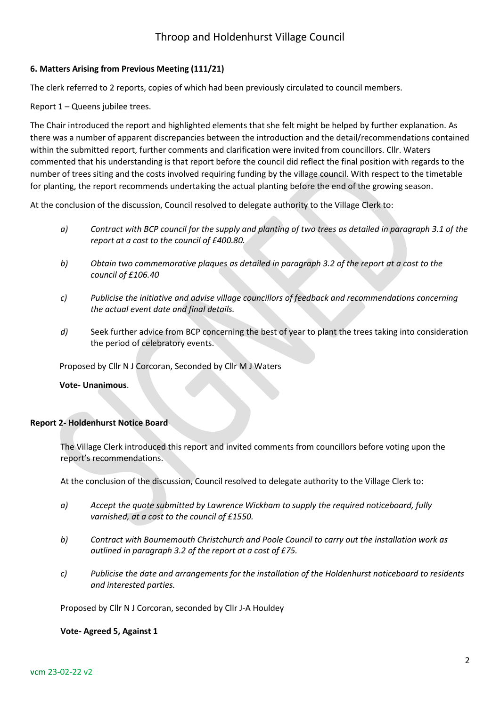# Throop and Holdenhurst Village Council

### **6. Matters Arising from Previous Meeting (111/21)**

The clerk referred to 2 reports, copies of which had been previously circulated to council members.

Report 1 – Queens jubilee trees.

The Chair introduced the report and highlighted elements that she felt might be helped by further explanation. As there was a number of apparent discrepancies between the introduction and the detail/recommendations contained within the submitted report, further comments and clarification were invited from councillors. Cllr. Waters commented that his understanding is that report before the council did reflect the final position with regards to the number of trees siting and the costs involved requiring funding by the village council. With respect to the timetable for planting, the report recommends undertaking the actual planting before the end of the growing season.

At the conclusion of the discussion, Council resolved to delegate authority to the Village Clerk to:

- *a) Contract with BCP council for the supply and planting of two trees as detailed in paragraph 3.1 of the report at a cost to the council of £400.80.*
- *b) Obtain two commemorative plaques as detailed in paragraph 3.2 of the report at a cost to the council of £106.40*
- *c) Publicise the initiative and advise village councillors of feedback and recommendations concerning the actual event date and final details.*
- *d)* Seek further advice from BCP concerning the best of year to plant the trees taking into consideration the period of celebratory events.

Proposed by Cllr N J Corcoran, Seconded by Cllr M J Waters

### **Vote- Unanimous**.

### **Report 2- Holdenhurst Notice Board**

The Village Clerk introduced this report and invited comments from councillors before voting upon the report's recommendations.

At the conclusion of the discussion, Council resolved to delegate authority to the Village Clerk to:

- *a) Accept the quote submitted by Lawrence Wickham to supply the required noticeboard, fully varnished, at a cost to the council of £1550.*
- *b) Contract with Bournemouth Christchurch and Poole Council to carry out the installation work as outlined in paragraph 3.2 of the report at a cost of £75.*
- *c) Publicise the date and arrangements for the installation of the Holdenhurst noticeboard to residents and interested parties.*

Proposed by Cllr N J Corcoran, seconded by Cllr J-A Houldey

#### **Vote- Agreed 5, Against 1**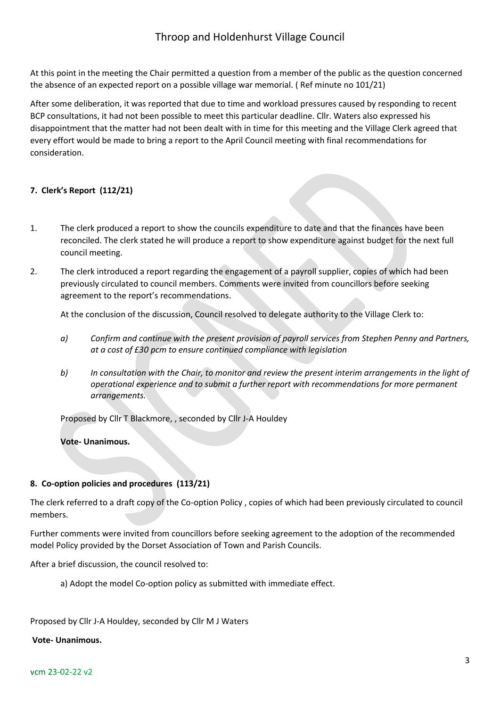At this point in the meeting the Chair permitted a question from a member of the public as the question concerned the absence of an expected report on a possible village war memorial. ( Ref minute no 101/21)

After some deliberation, it was reported that due to time and workload pressures caused by responding to recent BCP consultations, it had not been possible to meet this particular deadline. Cllr. Waters also expressed his disappointment that the matter had not been dealt with in time for this meeting and the Village Clerk agreed that every effort would be made to bring a report to the April Council meeting with final recommendations for consideration.

# **7. Clerk's Report (112/21)**

- 1. The clerk produced a report to show the councils expenditure to date and that the finances have been reconciled. The clerk stated he will produce a report to show expenditure against budget for the next full council meeting.
- 2. The clerk introduced a report regarding the engagement of a payroll supplier, copies of which had been previously circulated to council members. Comments were invited from councillors before seeking agreement to the report's recommendations.

At the conclusion of the discussion, Council resolved to delegate authority to the Village Clerk to:

- *a) Confirm and continue with the present provision of payroll services from Stephen Penny and Partners, at a cost of £30 pcm to ensure continued compliance with legislation*
- *b) In consultation with the Chair, to monitor and review the present interim arrangements in the light of operational experience and to submit a further report with recommendations for more permanent arrangements.*

Proposed by Cllr T Blackmore, , seconded by Cllr J-A Houldey

**Vote- Unanimous.**

# **8. Co-option policies and procedures (113/21)**

The clerk referred to a draft copy of the Co-option Policy , copies of which had been previously circulated to council members.

Further comments were invited from councillors before seeking agreement to the adoption of the recommended model Policy provided by the Dorset Association of Town and Parish Councils.

After a brief discussion, the council resolved to:

a) Adopt the model Co-option policy as submitted with immediate effect.

Proposed by Cllr J-A Houldey, seconded by Cllr M J Waters

### **Vote- Unanimous.**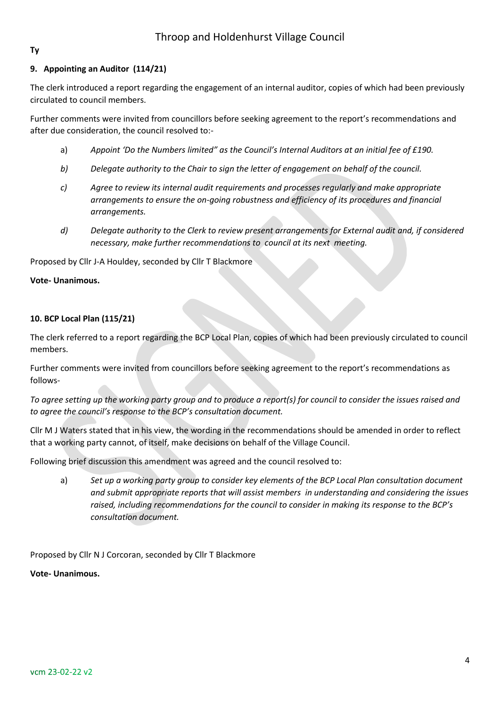# **Ty**

# **9. Appointing an Auditor (114/21)**

The clerk introduced a report regarding the engagement of an internal auditor, copies of which had been previously circulated to council members.

Further comments were invited from councillors before seeking agreement to the report's recommendations and after due consideration, the council resolved to:-

- a) *Appoint 'Do the Numbers limited" as the Council's Internal Auditors at an initial fee of £190.*
- *b) Delegate authority to the Chair to sign the letter of engagement on behalf of the council.*
- *c) Agree to review its internal audit requirements and processes regularly and make appropriate arrangements to ensure the on-going robustness and efficiency of its procedures and financial arrangements.*
- *d) Delegate authority to the Clerk to review present arrangements for External audit and, if considered necessary, make further recommendations to council at its next meeting.*

Proposed by Cllr J-A Houldey, seconded by Cllr T Blackmore

## **Vote- Unanimous.**

# **10. BCP Local Plan (115/21)**

The clerk referred to a report regarding the BCP Local Plan, copies of which had been previously circulated to council members.

Further comments were invited from councillors before seeking agreement to the report's recommendations as follows-

*To agree setting up the working party group and to produce a report(s) for council to consider the issues raised and to agree the council's response to the BCP's consultation document.*

Cllr M J Waters stated that in his view, the wording in the recommendations should be amended in order to reflect that a working party cannot, of itself, make decisions on behalf of the Village Council.

Following brief discussion this amendment was agreed and the council resolved to:

a) *Set up a working party group to consider key elements of the BCP Local Plan consultation document and submit appropriate reports that will assist members in understanding and considering the issues raised, including recommendations for the council to consider in making its response to the BCP's consultation document.*

Proposed by Cllr N J Corcoran, seconded by Cllr T Blackmore

**Vote- Unanimous.**